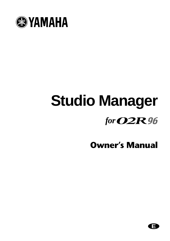

# **Studio Manager** *for*

## **Owner's Manual**

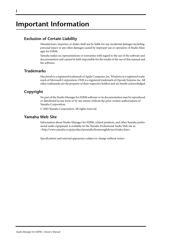## **Important Information**

## **Exclusion of Certain Liability**

Manufacturer, importer, or dealer shall not be liable for any incidental damages including personal injury or any other damages caused by improper use or operation of Studio Manager for 02R96.

Yamaha makes no representations or warranties with regard to the use of the software and documentation and cannot be held responsible for the results of the use of this manual and the software.

## <span id="page-1-0"></span>**Trademarks**

Macintosh is a registered trademark of Apple Computer, Inc. Windows is a registered trademark of Microsoft Corporation. OMS is a registered trademark of Opcode Systems, Inc. All other trademarks are the property of their respective holders and are hereby acknowledged.

## **Copyright**

No part of the Studio Manager for 02R96 software or its documentation may be reproduced or distributed in any form or by any means without the prior written authorization of Yamaha Corporation.

© 2002 Yamaha Corporation. All rights reserved.

## **Yamaha Web Site**

Information about Studio Manager for 02R96, related products, and other Yamaha professional audio equipment is available on the Yamaha Professional Audio Web site at: <http://www.yamaha.co.jp/product/proaudio/homeenglish/navi/index.htm>.

Specifications and external appearance subject to change without notice.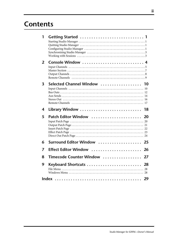## **Contents**

| 1              |                                  |  |
|----------------|----------------------------------|--|
| $\overline{2}$ | Console Window<br>4              |  |
| 3              | Selected Channel Window  10      |  |
| 4              | Library Window<br>18             |  |
| 5              | Patch Editor Window<br><b>20</b> |  |
| 6              | Surround Editor Window<br>25     |  |
| 7              | Effect Editor Window<br>26       |  |
| 8              | Timecode Counter Window<br>27    |  |
| 9              | Keyboard Shortcuts<br>28         |  |
|                | 29                               |  |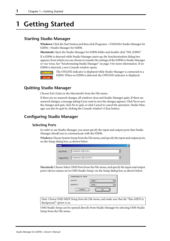## <span id="page-3-6"></span><span id="page-3-0"></span>**1 Getting Started**

## <span id="page-3-5"></span><span id="page-3-1"></span>**Starting Studio Manager**

**Windows:** Click the Start button and then click Programs–>YAMAHA Studio Manager for 02R96–>Studio Manager for 02R96.

**Macintosh:** Open the Studio Manager for 02R96 folder and double-click "SM\_02R96."

If a 02R96 is detected while Studio Manager starts up, the Synchronization dialog box appears, from which you can choose to transfer the settings of the 02R96 to Studio Manager or vice versa. [See "Synchronizing Studio Manager" on page 3 for more information.](#page-5-0) If no 02R96 is detected, a new Console window opens.



The ONLINE indicator is displayed while Studio Manager is connected to a 02R96. When no 02R96 is detected, the OFFLINE indicator is displayed.

## <span id="page-3-4"></span><span id="page-3-2"></span>**Quitting Studio Manager**

Choose Exit (Quit on the Macintosh) from the File menu.

If there are no unsaved changes, all windows close and Studio Manager quits. If there are unsaved changes, a message asking if you want to save the changes appears. Click Yes to save the changes and quit, click No to quit, or click Cancel to cancel the operation. Studio Manager can also be quit by clicking the Console window's Close button.

## <span id="page-3-3"></span>**Configuring Studio Manager**

## **Selecting Ports**

In order to use Studio Manager, you must specify the input and output ports that Studio Manager should use to communicate with the 02R96.

**Windows:** Choose System Setup from the File menu, and specify the input and output ports on the Setup dialog box, as shown below.

| <b>Setup</b> |                    | $\times$ |
|--------------|--------------------|----------|
| Input Port:  | YAMAHA USB IN 0-1  |          |
| Output Port: | YAMAHA USB OUT 0-1 |          |
|              |                    |          |

**Macintosh:** Choose Select OMS Ports from the File menu, and specify the input and output ports (device names set in OMS Studio Setup) on the Setup dialog box, as shown below.



*Note: Choose OMS MIDI Setup from the File menu, and make sure that the "Run MIDI in Background" option is on.*

OMS Studio Setup can be opened directly from Studio Manager by selecting OMS Studio Setup from the File menu.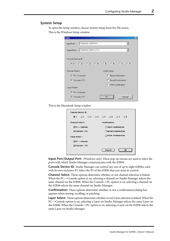#### <span id="page-4-4"></span>**System Setup**

To open the Setup window, choose System Setup from the File menu. This is the Windows Setup window.

| Setup                 |                    |               |                   |                             |        | $\mathsf{x}$ |
|-----------------------|--------------------|---------------|-------------------|-----------------------------|--------|--------------|
| Input Port:           | YAMAHA USB IN 0-1  |               |                   |                             |        |              |
| Output Port:          | YAMAHA USB OUT 0-1 |               |                   |                             |        |              |
| Console Device ID:    |                    |               |                   |                             |        |              |
| G1 C2 C3 C4 C5 C6 C7  |                    |               |                   |                             | C.8    |              |
| Channel Select:       |                    | Confirmation: |                   |                             |        |              |
| $\nabla$ PC-> Console |                    | ш             | Store Confimation |                             |        |              |
| $\nabla$ Console-> PC |                    |               |                   | <b>F</b> Recall Confimation |        |              |
|                       |                    |               |                   | F Patch Confimation         |        |              |
| Layer Select:         |                    |               |                   |                             |        |              |
| $\nabla$ PC-> Console |                    |               |                   |                             |        |              |
| $\nabla$ Console-> PC |                    |               |                   |                             | Cancel |              |

<span id="page-4-2"></span>This is the Macintosh Setup window

| Console Device ID      |                           |  |  |                            |                           |  |              |  |  |  |
|------------------------|---------------------------|--|--|----------------------------|---------------------------|--|--------------|--|--|--|
| @1                     |                           |  |  | 02 03 04 05 06 07          |                           |  | $\bigcirc$ 8 |  |  |  |
| <b>Channel Select:</b> |                           |  |  | <b>Confirmation:</b>       |                           |  |              |  |  |  |
|                        | $\boxtimes$ PC -> Console |  |  |                            | $\Box$ Store Confirmation |  |              |  |  |  |
|                        | $\boxtimes$ Console -> PC |  |  | $\Box$ Recall Confirmation |                           |  |              |  |  |  |
| Layer Select :         |                           |  |  |                            | $\Box$ Patch Confirmation |  |              |  |  |  |
|                        | $\boxtimes$ PC -> Console |  |  |                            |                           |  |              |  |  |  |
|                        | $\boxdot$ Console -> PC   |  |  |                            |                           |  |              |  |  |  |
|                        |                           |  |  |                            | Cancel                    |  | 0K           |  |  |  |

<span id="page-4-3"></span><span id="page-4-1"></span><span id="page-4-0"></span>**Input Port/Output Port:** (Windows only) These pop-up menus are used to select the ports with which Studio Manager communicates with the 02R96.

**Console Device ID:** Studio Manager can control any one of up to eight 02R96s, each with its own exclusive ID. Select the ID of the 02R96 that you want to control.

**Channel Select:** These options determine whether or not channel selection is linked. When the PC–>Console option is on, selecting a channel on Studio Manager selects the same channel on the 02R96. When the Console–>PC option is on, selecting a channel on the 02R96 selects the same channel on Studio Manager.

**Confirmation:** These options determine whether or not a confirmation dialog box appears when storing, recalling, or patching.

**Layer Select:** These options determine whether or not Layer selection is linked. When the PC–>Console option is on, selecting a Layer on Studio Manager selects the same Layer on the 02R96. When the Console–>PC option is on, selecting a Layer on the 02R96 selects the same Layer on Studio Manager.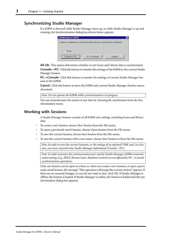## <span id="page-5-6"></span><span id="page-5-0"></span>**Synchronizing Studio Manager**

<span id="page-5-5"></span><span id="page-5-3"></span><span id="page-5-2"></span>If a 02R96 is detected while Studio Manager starts up, or while Studio Manager is up and running, the Synchronization dialog box shown below appears.

| StudioManager for 02R96                                                   |              |        |  |  |  |  |  |  |
|---------------------------------------------------------------------------|--------------|--------|--|--|--|--|--|--|
| A device is detected. A synchronization process is going to be scheduled. |              |        |  |  |  |  |  |  |
|                                                                           |              |        |  |  |  |  |  |  |
|                                                                           |              |        |  |  |  |  |  |  |
| $\Gamma$ All Lib                                                          |              |        |  |  |  |  |  |  |
| Console -> PC                                                             | PC-> Console | Cancel |  |  |  |  |  |  |
|                                                                           |              |        |  |  |  |  |  |  |

**All Lib:** This option determines whether or not Scene and Library data is synchronized.

<span id="page-5-4"></span>**Console–>PC:** Click this button to transfer the settings of the 02R96 to the current Studio Manager Session.

**PC–>Console:** Click this button to transfer the settings of current Studio Manager Session to the 02R96.

**Cancel:** Click this button to leave the 02R96 and current Studio Manager Session unsynchronized.

*Note: Do not operate the 02R96 while synchronization is in progress.*

You can resynchronize the system at any time by choosing Re-synchronize from the Synchronization menu.

## <span id="page-5-1"></span>**Working with Sessions**

A Studio Manager Session consists of all 02R96 mix settings, including Scene and library data.

- To create a new Session, choose New Session from the File menu.
- To open a previously saved Session, choose Open Session from the File menu.
- To save the current Session, choose Save Session from the File menu.
- To save the current Session with a new name, choose Save Session as from the File menu.

*Note: In order to save the current Automix, or the settings of an optional Y56K card, in a Session, you must resynchronize Studio Manager beforehand (Console–>PC).*

*Note: In order to protect the communication port used by Studio Manager, 02R96 communication settings (e.g., MIDI, Remote Layer, Machine Control) are not affected by PC–>Console synchronization operations.*

Only one Session can be open at a time, so when you create a new Session, or open a previously saved Session, the message "This operation will purge the current session" appears. If there are no unsaved changes, or you do not want to save, click OK. If Studio Manager is offline, the Session is loaded. If Studio Manager is online, the Session is loaded and the synchronization dialog box appears.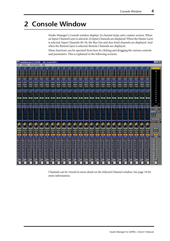## <span id="page-6-1"></span><span id="page-6-0"></span>**2 Console Window**

Studio Manager's Console window displays 24 channel strips and a master section. When an Input Channel Layer is selected, 24 Input Channels are displayed. When the Master Layer is selected, Input Channels 49–56, the Bus Out and Aux Send channels are displayed. And when the Remote layer is selected, Remote Channels are displayed.

Many functions can be operated from here by clicking and dragging the various controls and parameters. This is explained in the following sections.

|                                                 | StudioManager for 02R96 : [ My Session.02X ] |                             |                             |                             |                      |                             |                                 |                          |                             |                         |                        |                       |                                          |                       |                             |                                   |                             |                       |                             |                                     |                                                       |                             |                             | $\Box$ olx                    |
|-------------------------------------------------|----------------------------------------------|-----------------------------|-----------------------------|-----------------------------|----------------------|-----------------------------|---------------------------------|--------------------------|-----------------------------|-------------------------|------------------------|-----------------------|------------------------------------------|-----------------------|-----------------------------|-----------------------------------|-----------------------------|-----------------------|-----------------------------|-------------------------------------|-------------------------------------------------------|-----------------------------|-----------------------------|-------------------------------|
| File                                            | Windows Synchronization Help                 |                             |                             |                             |                      |                             |                                 |                          |                             |                         |                        |                       |                                          |                       |                             |                                   |                             |                       |                             |                                     |                                                       |                             |                             |                               |
| SOURCE                                          | SOURCE                                       | SOURCE                      | SOURCE                      | SOURCE                      | SOURCE               | SOURCE                      | SOURCE                          | SOURCE                   | SOURCE                      | SOURCE                  | SOURCE                 | SOURCE                | SOURCE                                   | SOURCE                | SOURCE                      | SOURCE                            | SOURCE                      | SOURCE                | SOURCE                      | SOURCE                              | SOURCE                                                | SOURCE                      | SOURCE                      |                               |
| AD <sub>1</sub><br>יפי יד                       | AD <sub>2</sub><br>יצוייד                    | AD <sub>3</sub><br>יצייד    | AD4<br><b>ITHE</b>          | AD <sub>5</sub><br>יפיידי   | AD6<br>יצויידי       | AD7<br>יפייד                | AD <sub>8</sub><br><u>דיידו</u> | AD <sub>9</sub><br>יפייד | AD18<br>וצויותי             | AD11<br>יפיים           | AD12<br>יצויי דו       | AD13<br>יציידי        | AD14<br>THE                              | AD15<br>ופיידי        | AD16<br>יפיידי              | <b>AD17</b><br>יצייד              | AD18<br>יציי דו             | AD19<br>יפייד         | AD20<br>ופיירה              | AD21<br>ופיידו                      | AD22<br>ופיידו                                        | AD23<br>יפוידו              | AD24<br>ו <u>קיי</u> ד      |                               |
| छ।<br>ΠŢ                                        | <b>3114</b>                                  | 31141                       | 13114                       | <u>1311141</u>              | 131114               | छ।<br>IΨ                    | 1311<br><b>ITT</b>              | 131114                   | 131114                      | <b>3.LA</b>             | 1311141                | 13 I T                | <u>13. II II</u>                         | 13 I I I I            | डा<br><b>ITT!</b>           | וקרויפי                           | 131 I T                     | 31141                 | 3114                        | उ। प                                | 3114                                                  | उपम                         | 3114                        | over<br>O                     |
| י פי<br>7118                                    | 15115<br><b>TE!</b><br>7118                  | ישי יש<br>7''''             | 15116<br>17113              | ישוישו<br>ישיידי            | 51.18<br>$7 - 8$     | ø<br>51<br>71181            | יפייפי<br>71181                 | 1511161<br>71131         | 151161<br>7118              | <b>IST TE!</b><br>71131 | <b>IST TET</b><br>7118 | ישיישי<br>71131       | ישו ישו<br>7118                          | ישי ישי<br>71131      | ज<br><b>ITE!</b><br>71181   | ישיישי<br>71181                   | ישיישי<br>7118              | <b>STIFF</b><br>71181 | $5 - 6$<br>7118             | יפייפי<br>71181                     | <b>ISL I.R.</b><br>7118                               | יפייפי<br>7 131             | <b>IST 1161</b><br>7118     | $-2$                          |
| isman                                           | isteret                                      | istereo                     | <b>ISTERED</b>              | <b>Island</b>               | <b>isterett</b>      | tanaan                      | ianan                           | isman                    | anaan                       | isman                   | knaar                  | tanaan                | ianaan                                   | ianaan                | ianaan                      | sme                               | isnaaa                      | isma                  | isnaan                      | isme                                | isteret                                               | isman                       | senn                        | $-4$                          |
| DIRECT                                          | DIRECT                                       | DIRECT                      | <b>DIRECT</b>               | <b>DIRECT</b>               | <b>DIRECT</b>        | DIRECT                      | DIRECT                          | DIRECT                   | DIRECT                      | DIRECT                  | <b>DIRECT</b>          | DIRECT                | <b>DIRECT</b>                            | DIRECT                | DIRECT                      | DIRECT                            | DIRECT                      | <b>DIRECT</b>         | <b>DIRECT</b>               | <b>DIRECT</b>                       | <b>DIRECT</b>                                         | <b>DIRECT</b>               | DIRECT                      | $-6$                          |
| $$1-1$                                          | $$1-2$                                       | $$1-3$                      | $S1-4$                      | $$1-5$                      | $$1-6$               | $$1-7$                      | $$1-8$                          | $S2 - 1$                 | $$2 - 2$                    | $$2-3$                  | $S2 - 4$               | $$2 - 5$              | $$2 - 6$                                 | $S2 - 7$              | $S2-8$                      | $S3 - 1$                          | $S3 - 2$                    | $S3 - 3$              | $S3 - 4$                    | $$3-5$                              | $$3 - 6$                                              | $$3-7$                      | $$3-8$                      | $-8$<br>$-10$                 |
| PHASE                                           | PHASE                                        | PHASE                       | <b>PHASE</b>                | <b>PHASE</b>                | <b>PHASE</b>         | PHASE <sup>®</sup>          | <b>PHASE</b>                    | PHASE <sup>®</sup>       | <b>PHASE</b>                | PHASE                   | <b>PHASE</b>           | PHASE <sup>®</sup>    | <b>PHASE</b>                             | PHASE <sup>1</sup>    | PHASE <sup>®</sup>          | PHASE <sup>1</sup>                | <b>PHASE</b>                | <b>PHASE</b>          | <b>PHASE</b>                | PHASE                               | <b>PHASE</b>                                          | <b>PHASE</b>                | PHASE                       | $-12$                         |
| INSERI<br>GATE                                  | INSERT<br>GATE                               | INSERT<br>GATE              | <b>INSERT</b><br>GATE       | <b>INSERT</b><br>GATE       | INSERT<br>GATE       | <b>INSERT</b><br>GATE       | <b>INSERT</b><br>GATE           | <b>INSERT</b><br>GATE    | <b>INSERT</b><br>GATE       | <b>INSERT</b><br>GATE   | <b>INSERT</b><br>GATE  | <b>INSERT</b><br>GATE | <b>INSERT</b><br>GATE                    | <b>INSERT</b><br>GATE | INSERT<br>GATE              | <b>INSERT</b><br>GATE             | INSERT<br>GATE              | <b>INSERT</b><br>GATE | <b>INSERT</b><br>GATE       | <b>INSERT</b><br>GATE               | <b>INSERT</b><br>GATE                                 | <b>INSERT</b><br>GATE       | <b>INSERT</b><br>GATE:      | $-14$                         |
| $\Rightarrow$ $\Rightarrow$                     | $\Rightarrow$ $\Rightarrow$                  | $\Rightarrow$ $\Rightarrow$ | $\Rightarrow$ $\Rightarrow$ | $\Rightarrow$ $\Rightarrow$ | $\Rightarrow$        | $\Rightarrow$ $\Rightarrow$ | $\Phi$ - $\Phi$                 | $\Phi$ - $\Phi$          | $\Rightarrow$ $\Rightarrow$ | $\Phi$ $\Phi$           | $\circ$ $\circ$        | $\Rightarrow$         | $\Rightarrow$ $\Rightarrow$              | $\sim$ $\sim$         | $\Rightarrow$ $\Rightarrow$ | $\Rightarrow$ $\Rightarrow$       | $\Rightarrow$ $\Rightarrow$ | $\circ$ - $\circ$     | $\Rightarrow$ $\Rightarrow$ | $\Rightarrow$ $\Rightarrow$         | $\Rightarrow$ $\Rightarrow$                           | $\Rightarrow$ $\Rightarrow$ | $\Rightarrow$ $\Rightarrow$ | $-18$                         |
| $-26.8$ dB                                      | -26.0dB                                      | $-26.8$ d $B$               | $-26.8$ dB                  | -26.0dB                     | $-26.8$ d $B$        | $-26.8$ dB                  | $-26.8$ dB                      | $-26.8$ d $B$            | $-26.8$ d $B$               | $-26.8$ d $B$           | $-26.8$ d $B$          | $-26.8$ d $B$         | $-26.8$ d $B$                            | $-26.8$ d $B$         | $-26.8$ dB                  | $-26.8$ dB                        | -26.0dB                     | $-26.8dB$             | $-26.0$ dB                  | $-26.8dB$                           | $-26.0$ dB                                            | $-26.8$ d $B$               | $-26.8$ dB                  | $-24$                         |
|                                                 | COMP                                         | COMP                        | COMP                        | COMP                        | COMP                 | COMP                        | COMP                            | COMP                     | COMP                        | COMP                    | COMP                   | COMP                  | COMP                                     | COMP                  | COMP                        | COMF                              | COMP                        | COMP                  | COMP                        | COMP                                | COMP                                                  | COMP                        | COMP                        | $-30$                         |
|                                                 |                                              |                             |                             |                             |                      |                             |                                 |                          |                             |                         |                        |                       |                                          |                       |                             |                                   |                             |                       |                             |                                     |                                                       |                             |                             | $-36$                         |
|                                                 |                                              |                             |                             |                             |                      |                             |                                 |                          |                             |                         |                        |                       |                                          |                       |                             |                                   |                             |                       |                             |                                     |                                                       |                             |                             | $-42$                         |
| $E_0$                                           | EQ                                           | $-50 -$                     | $\blacksquare$              | E0                          | E0                   | $E_1$                       | $E_0$                           | $-EQ$                    | E0                          | E0                      | $-10$                  | E0                    | $E_0$                                    | $E_2$                 | $E_0$                       | $E_0$                             | E0                          | $-60$                 | E(1)                        | $-10$                               | <b>EQ</b>                                             | E0                          | E0                          | $-48$                         |
|                                                 |                                              |                             |                             |                             |                      |                             |                                 |                          |                             |                         |                        |                       |                                          |                       |                             |                                   |                             |                       |                             |                                     |                                                       |                             |                             | $-56$<br>$-72$                |
| DELAY                                           | DELAY                                        | DELAY                       | DELAY                       | DELAY                       | DELAY                | DELAY                       | DELAY                           | DELAY                    | DELAY                       | <b>DELAY</b>            | DELAY                  | DELAY <sup>*</sup>    | DELAY                                    | DELAY <sup>1</sup>    | DELAY                       | DELAY                             | DELAY                       | DELAY                 | DELAY <sup>®</sup>          | DELAY                               | DELAY                                                 | DELAY"                      | DELAY                       |                               |
| 0.0 <sub>ms</sub>                               | 0.0 <sub>ms</sub>                            | 0.0 <sub>ms</sub>           | 0.0ms                       | 0.0 <sub>ms</sub>           | 0.0 <sub>ms</sub>    | 0.0 <sub>ms</sub>           | 0.0 <sub>ms</sub>               | 0.0 <sub>ms</sub>        | 0.0 <sub>ms</sub>           | 0.0 <sub>ms</sub>       | 0.0 <sub>ms</sub>      | 0.0 <sub>ms</sub>     | 0.0 <sub>ms</sub>                        | 0.0 <sub>ms</sub>     | 0.0 <sub>ms</sub>           | 0.0 <sub>ms</sub>                 | 0.0 <sub>ms</sub>           | 0.0 <sub>ms</sub>     | 0.8ms                       | 0.8ms                               | 0.0 <sub>ms</sub>                                     | 0.8ms                       | 0.0ms                       | <b>STEREO</b>                 |
|                                                 | 2                                            |                             | $\blacktriangleleft$        | 5                           | 6                    | 7                           | $\overline{\mathbf{8}}$         | ্ব                       | 10                          | 11                      | $\overline{12}$        | 13                    | 14                                       | $\overline{15}$       | 16                          | $\overline{17}$                   | 18                          | 19                    | 20                          | 21                                  | $\overline{22}$                                       | $\overline{23}$             | $\overline{24}$             |                               |
| AUX                                             | AU)                                          | AUX                         | AUX                         | aux                         | aux                  | AUX                         | AUX                             | aux                      |                             | AUX                     | AUX                    |                       |                                          |                       |                             |                                   | AUX                         |                       |                             |                                     | AUX                                                   | AUX                         | AUX                         | LAYER                         |
|                                                 |                                              |                             |                             |                             |                      |                             |                                 |                          |                             |                         |                        |                       |                                          |                       |                             |                                   |                             |                       |                             |                                     |                                                       |                             |                             | $1 - 24 =$<br><b>REMOTE 1</b> |
|                                                 |                                              |                             |                             |                             |                      |                             |                                 |                          |                             |                         |                        |                       |                                          |                       |                             |                                   |                             |                       |                             |                                     |                                                       |                             |                             | $25 - 48$                     |
|                                                 |                                              |                             |                             |                             |                      |                             |                                 |                          |                             |                         |                        |                       |                                          |                       |                             |                                   |                             |                       |                             |                                     |                                                       |                             |                             | MASTER                        |
|                                                 |                                              |                             |                             |                             |                      |                             |                                 |                          |                             |                         |                        |                       |                                          |                       |                             |                                   |                             |                       |                             |                                     |                                                       |                             |                             | PAN CONTROL                   |
| Center                                          | Center                                       | Center                      | Center                      | Center                      | Center               | Center                      | Center                          | Center                   | Center                      | Center                  | Center                 | Center                | Center                                   | Center                | Center                      | Center                            | Center                      | Center                | Center                      | Center                              | Center                                                | Center                      | Center                      | SI 1990'' SURR                |
|                                                 |                                              |                             | Τ                           | T                           |                      |                             | 1                               | 71                       | Τ                           |                         | Ί                      | 1                     |                                          |                       | r                           |                                   | Т                           |                       | Τ                           |                                     |                                                       |                             |                             |                               |
|                                                 | ۰.                                           | ÷,                          | r.                          |                             | r,                   | r,                          |                                 |                          |                             | ŧ                       |                        | 4                     | т                                        | r,                    | r,                          |                                   |                             | r.                    | r T                         |                                     | ۴,                                                    | r,                          | r.                          |                               |
| AUTO                                            | AUTO-                                        | AUTO.                       | <b>AUTO</b>                 | AUTO                        | <b>AUTO</b>          | AUTO.                       | AUTO.                           | AUTO                     | AUTO                        | AUTO                    | AUTO                   | AUTO                  | AUTO                                     | <b>AUTO</b>           | <b>AUTO</b>                 | AUTO                              | AUTO                        | <b>AUTO</b>           | <b>AUTO</b>                 | <b>AUTO</b>                         | AUTO                                                  | <b>AUTO</b>                 | AUTO-                       | <b>AUTO</b>                   |
| SELECT                                          | SELECT                                       | SELECT                      | 'SELECT                     | <b>SELECT</b>               | SELECT               | SELECT                      | <b>SELECT</b>                   | SELECT                   | <b>SELECT</b>               | SELECT                  | SELECT                 | 'SELECT               | SELECT                                   | <b>SELECT</b>         | SELECT                      | SELECT                            | SELECT                      | <b>SELECT</b>         | SELECT                      | <b>SELECT</b>                       | <b>SELECT</b>                                         | SELECT                      | SELECT                      | 'SELECT'                      |
| SOLO                                            | SOLO                                         | SOLO                        | SOLO                        | SOLO                        | SOLO <sup>1</sup>    | SOLO <sup>1</sup>           | SOLO <sup>1</sup>               | SOLO <sup>1</sup>        | \$010                       | SOLO <sup></sup>        | \$0L0                  | SOLO <sup>1</sup>     | SOLO                                     | SOLO                  | SOLO                        | SOLO                              | SOLO <sub></sub>            | \$010                 | SOLO                        | \$010                               | \$010                                                 | \$010                       | SOLO                        |                               |
| ON                                              | ON                                           | ON                          | ON                          | ON                          | ON                   | ON                          | ON.                             | $_{0}$ N                 | ON.                         | ON                      | ON                     | ON                    | ON                                       | ON                    | ON                          | ON                                | ON                          | ON                    | ON                          | ON                                  | ON                                                    | ON                          | ON                          | ON                            |
| CH <sub>1</sub>                                 | CH <sub>2</sub>                              | CH <sub>3</sub>             | CH4                         | CH <sub>5</sub>             | CH6                  | CH <sub>7</sub>             | CH <sub>8</sub>                 | CH <sub>3</sub>          | CH <sub>18</sub>            | <b>CH11</b>             | CH <sub>12</sub>       | CH <sub>13</sub>      | <b>CH14</b>                              | CH15                  | <b>CH16</b>                 | CH17                              | CH <sub>18</sub>            | CH <sub>19</sub>      | CH <sub>20</sub>            | CH <sub>21</sub>                    | CH <sub>22</sub>                                      | CH <sub>23</sub>            | CH24                        | <b>STEREO</b>                 |
|                                                 |                                              | $-10 - 1$                   | $+10-$                      |                             |                      |                             | $-10 -$                         |                          |                             | $+10-$                  | $+10-$                 |                       |                                          | $-10 -$               | $+10-$                      |                                   |                             |                       | $+10-$                      |                                     | $-10 -$                                               |                             | $+10-$                      |                               |
| $+10^{-1}$<br>$5^{-1}$<br>$-1^{-1}$<br>$5^{-1}$ | $\frac{10}{5}$ =                             | šĒ                          | $\frac{1}{5}$               | $\frac{1}{2}$               | $rac{40}{5}$<br>İ    | $rac{+10}{5}$               | $\frac{1}{5}$                   |                          |                             | $\frac{1}{5}$           | 5 <sup>2</sup>         |                       |                                          | у.                    | $\overline{\mathbf{s}}$ .   | $rac{40}{5}$                      | $rac{40}{9}$                | $\frac{+10}{5}$       | $\overline{\mathbf{s}}$ :   | $\frac{+10}{5}$                     | i<br>i<br>$\begin{bmatrix} 1 \\ 5 \\ 6 \end{bmatrix}$ | $rac{+10}{5}$               | 5-                          | $\frac{0}{5}$ $=$<br>Ē        |
|                                                 | $0 -$                                        | $0 -$                       | $\sqrt{2}$                  |                             |                      | $0 -$                       | $\sqrt{2}$                      |                          |                             | $6 -$                   | $\sqrt{2}$             |                       |                                          | $0 -$                 | $\overline{0}$ =            |                                   |                             | $\sqrt{2}$            | $\sqrt{2}$                  | $\frac{1}{0}$                       |                                                       | $0 -$                       | $0 -$                       | $10 -$                        |
|                                                 | $5 -$                                        | $5 -$                       | $\sim$<br>$5 -$             | $\blacksquare$<br>$5 -$     | $\sim$<br>٥<br>$5 -$ | $5 -$                       | $\sim$<br>$5 -$                 | $\sim$<br>$5 -$          | $\frac{1}{5}$               | $5 -$                   | $\sim$<br>$5 -$        | ×,<br>$5 -$           | ÷.<br>$5 -$                              | $5 -$                 | ×.<br>$5 -$                 | $\overline{\phantom{a}}$<br>$5 -$ | $\sim$<br>$5 -$             | $5 -$                 | $5 -$                       | $\overline{\phantom{a}}$<br>$5 -$   | $5 -$                                                 | $5 -$                       | $5 -$                       | $15 -$                        |
|                                                 |                                              |                             |                             |                             |                      |                             |                                 | $\sim$                   | н                           |                         |                        |                       | $\sim$                                   |                       |                             |                                   |                             |                       |                             | ÷                                   |                                                       |                             |                             |                               |
|                                                 |                                              |                             |                             |                             |                      |                             |                                 |                          |                             |                         |                        |                       |                                          |                       |                             |                                   |                             |                       |                             |                                     |                                                       |                             |                             |                               |
| $15 -$                                          | $15 -$                                       | $15 -$                      | $15 -$                      | $15 -$                      | $15 -$               | $15 -$                      | $15 -$                          | $15 -$                   | $15 -$                      | $15 -$                  | $15 -$                 | $15 -$                | $15 -$                                   | $15 -$                | $15 -$                      | $15 -$                            | $15 -$                      | $15 -$                | $15 -$                      | $15 -$                              | $15 -$                                                | $15 -$                      | $15 -$                      | $30 -$                        |
|                                                 |                                              | $20 -$                      |                             |                             |                      | $20 -$                      |                                 | $20 -$                   |                             | $20 -$                  | $20 -$                 | $20 -$                |                                          | $20 -$                | $20 -$                      |                                   |                             | $20 -$                |                             |                                     |                                                       | $20 -$                      |                             |                               |
| $30 -$                                          | $30 -$                                       | $30 -$                      | $30 -$                      | $30 -$                      | $30 -$               | $30 -$                      | $30 -$                          | $30 -$                   | $30 -$                      | $30 -$                  | $30 -$                 | $30 -$                | $30 -$                                   | $30 -$                | $30 -$                      | $30 -$                            | $30 -$                      | $30 -$                | $30 -$                      | $30 -$                              | $30 -$                                                | $30 -$                      | $30 -$                      | $50 -$                        |
|                                                 |                                              |                             |                             |                             |                      |                             |                                 |                          |                             |                         |                        |                       |                                          |                       |                             |                                   |                             |                       |                             |                                     |                                                       |                             |                             | 70                            |
|                                                 |                                              |                             |                             |                             |                      |                             |                                 |                          |                             |                         |                        |                       |                                          |                       |                             |                                   |                             |                       |                             |                                     |                                                       |                             |                             |                               |
| $10 -$<br>$20 -$                                | 10 –<br>$20 -$                               | $10 -$                      | $10 -$<br>$20 -$            | $10 -$<br>$20 -$<br>50      | $10 -$<br>$20 -$     | $10 -$                      | $10 -$<br>$20 -$                | $10 -$                   | $10 -$<br>$20 -$            | $10 -$                  | $10 -$                 | $10 -$                | $10 -$<br>$20 -$<br>$\blacksquare$<br>50 | $10 -$                | $10 -$                      | $10 -$<br>$20 -$<br>F             | $10 -$<br>$20 -$            | $10 -$                | $10 -$<br>$20 -$            | $10 -$<br>$20 -$<br>$\frac{40}{50}$ | $10 -$<br>$20 -$<br>śõ                                | $10 -$                      | $10 -$<br>$20 -$            | $20 -$                        |

Channels can be viewed in more detail on the Selected Channel window. See [page 10](#page-12-0) for more information.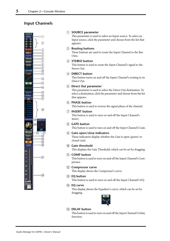## <span id="page-7-11"></span><span id="page-7-0"></span>**Input Channels**



#### <span id="page-7-16"></span><span id="page-7-15"></span><span id="page-7-14"></span><span id="page-7-4"></span>A **SOURCE parameter**

This parameter is used to select an Input source. To select an Input source, click the parameter and choose from the list that appears.

## <span id="page-7-5"></span>B **Routing buttons**

These buttons are used to route the Input Channel to the Bus Outs.

## <span id="page-7-13"></span>**(3) STEREO button**

This button is used to route the Input Channel's signal to the Stereo Out.

## <span id="page-7-12"></span>(4) **DIRECT** button

This button turns on and off the Input Channel's routing to its Direct Out.

## <span id="page-7-8"></span>**(6) Direct Out parameter**

<span id="page-7-9"></span>This parameter is used to select the Direct Out destination. To select a destination, click the parameter and choose from the list that appears.

## $\circ$  **PHASE button**

<span id="page-7-10"></span>This button is used to reverse the signal phase of the channel.

## G **INSERT button**

<span id="page-7-1"></span>This button is used to turn on and off the Input Channel's Insert.

## <span id="page-7-2"></span>**(8)** GATE button This button is used to turn on and off the Input Channel's Gate.

#### <span id="page-7-6"></span>I **Gate open/close indicators** These indicators display whether the Gate is open (green) or closed (red).

- <span id="page-7-7"></span>(10) Gate threshold This displays the Gate Threshold, which can be set by dragging.
- **(1)** COMP button This button is used to turn on and off the Input Channel's Compressor.
- <span id="page-7-3"></span>L **Compressor curve** This display shows the Compressor's curve.
- M **EQ button** This button is used to turn on and off the Input Channel's EQ.
- **(14) EQ curve** This display shows the Equalizer's curve, which can be set by dragging.



#### O **DELAY button**

This button is used to turn on and off the Input Channel's Delay function.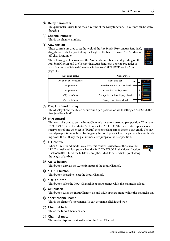## <span id="page-8-4"></span><span id="page-8-1"></span>**(16) Delay parameter**

This parameter is used to set the delay time of the Delay function. Delay times can be set by dragging.

## Q **Channel number**

This is the channel number.

## (18) **AUX section**

These controls are used to set the levels of the Aux Sends. To set an Aux Send level, drag its bar or click a point along the length of the bar. To turn an Aux Send on or off, click its number.

<span id="page-8-8"></span>The following table shows how the Aux Send controls appear depending on the Aux Send On/Off and Pre/Post settings. Aux Sends can be set to pre-fader or post-fader on the Selected Channel window (see ["AUX SEND section" on](#page-13-0)  [page 11\)](#page-13-0).

<span id="page-8-7"></span>

| <b>Aux Send status</b>     | Appearance                        |
|----------------------------|-----------------------------------|
| On or off but no level set | Dark blue bar                     |
| Off, pre-fader             | Green bar outline displays level  |
| On, pre-fader              | Green bar displays level          |
| Off, post-fader            | Orange bar outline displays level |
| On, post-fader             | Orange bar displays level         |

## <span id="page-8-5"></span>**(19) Pan/Aux Send display**

This display shows the stereo or surround pan position or, while setting an Aux Send, the Aux Send level in dB.

#### $\oslash$  **PAN** control

<span id="page-8-9"></span><span id="page-8-0"></span>This control is used to set the Input Channel's stereo or surround pan position. When the PAN CONTROL in the Master Section is set to "STEREO," the Pan control appears as a rotary control, and when set to "SURR," the control appears as dot on a pan graph. The surround pan position can be set by dragging the dot. If you click on the pan graph while holding down the Shift key, the pan immediately jumps to the new position.

## <span id="page-8-10"></span>**21)** LFE control

<span id="page-8-6"></span>When 5.1 Surround mode is selected, this control is used to set the surround LFE Channel level. It appears when the PAN CONTROL in the Master Section is set to "SURR." To set the LFE level, drag the end of its bar or click a point along the length of the bar.



## 22 AUTO button

<span id="page-8-2"></span>This button displays the Automix status of the Input Channel.

## 23 **SELECT** button

<span id="page-8-3"></span>This button is used to select the Input Channel.

#### 24 **SOLO button**

This button solos the Input Channel. It appears orange while the channel is soloed.

25 ON button

This button turns the Input Channel on and off. It appears orange while the channel is on.

#### 26 Short channel name

This is the channel's short name. To edit the name, click it and type.

#### 27 Channel fader

This is the Input Channel's fader.

#### b **Channel meter**

This meter displays the signal level of the Input Channel.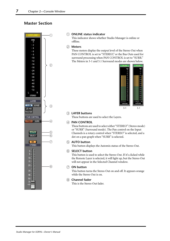## <span id="page-9-4"></span><span id="page-9-0"></span>**Master Section**



## <span id="page-9-5"></span>A **ONLINE status indicator**

This indicator shows whether Studio Manager is online or offline.

#### B **Meters**

<span id="page-9-7"></span><span id="page-9-3"></span>These meters display the output level of the Stereo Out when PAN CONTROL is set to "STEREO," or the Bus Outs used for surround processing when PAN CONTROL is set to "SURR." The Meters in 3-1 and 5.1 Surround modes are shown below.



## <span id="page-9-8"></span><span id="page-9-1"></span>**(3) LAYER buttons**

These buttons are used to select the Layers.

## **(4) PAN CONTROL**

<span id="page-9-6"></span>These buttons are used to select either "STEREO" (Stereo mode) or "SURR" (Surround mode). The Pan control on the Input Channels is a rotary control when "STEREO" is selected, and a dot on a pan graph when "SURR" is selected.

## <span id="page-9-2"></span>E **AUTO button**

This button displays the Automix status of the Stereo Out.

## **(6) SELECT button**

This button is used to select the Stereo Out. If it's clicked while the Remote Layer is selected, it will light up, but the Stereo Out will not appear in the Selected Channel window.

#### G **ON button**

This button turns the Stereo Out on and off. It appears orange while the Stereo Out is on.

## **(8)** Channel fader

This is the Stereo Out fader.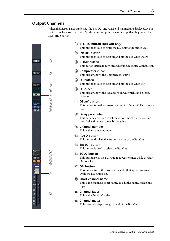## <span id="page-10-2"></span><span id="page-10-0"></span>**Output Channels**

<span id="page-10-15"></span>When the Master Layer is selected, the Bus Out and Aux Send channels are displayed. A Bus Out channel is shown here. Aux Send channels appear the same except that they do not have a STEREO button.



<span id="page-10-11"></span><span id="page-10-9"></span><span id="page-10-6"></span><span id="page-10-5"></span>A **STEREO button (Bus Out only)**

<span id="page-10-10"></span>This button is used to route the Bus Out to the Stereo Out.

#### B **INSERT button**

This button is used to turn on and off the Bus Out's Insert.

- <span id="page-10-7"></span>**(3) COMP button** This button is used to turn on and off the Bus Out's Compressor.
- <span id="page-10-8"></span>(4) **Compressor curve** This display shows the Compressor's curve.
- (5) **EQ button**

This button is used to turn on and off the Bus Out's EQ.

**(6) EQ curve** 

<span id="page-10-1"></span>This display shows the Equalizer's curve, which can be set by dragging.

G **DELAY button**

<span id="page-10-13"></span>This button is used to turn on and off the Bus Out's Delay function.

<span id="page-10-14"></span>**(8)** Delay parameter

This parameter is used to set the delay time of the Delay function. Delay times can be set by dragging.

<span id="page-10-12"></span>I **Channel number**

This is the channel number.

**(10) AUTO button** 

This button displays the Automix status of the Bus Out.

**(1) SELECT button** 

<span id="page-10-3"></span>This button is used to select the Bus Out.

(12) **SOLO** button

<span id="page-10-4"></span>This button solos the Bus Out. It appears orange while the Bus Out is soloed.

**(13)** ON button

This button turns the Bus Out on and off. It appears orange while the Bus Out is on.

N **Short channel name**

This is the channel's short name. To edit the name, click it and type.

O **Channel fader**

This is the Bus Out's fader.

**(16)** Channel meter

This meter displays the signal level of the Bus Out.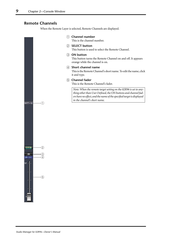## <span id="page-11-3"></span><span id="page-11-0"></span>**Remote Channels**

<span id="page-11-4"></span><span id="page-11-2"></span><span id="page-11-1"></span>When the Remote Layer is selected, Remote Channels are displayed.

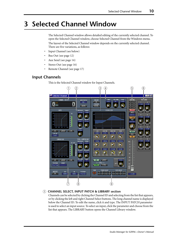## <span id="page-12-3"></span><span id="page-12-0"></span>**3 Selected Channel Window**

The Selected Channel window allows detailed editing of the currently selected channel. To open the Selected Channel window, choose Selected Channel from the Windows menu. The layout of the Selected Channel window depends on the currently selected channel. There are five variations, as follows:

- Input Channel (see below)
- Bus Out (see [page 12](#page-14-0))
- Aux Send (see [page 14](#page-16-0))
- Stereo Out (see [page 16](#page-18-0))
- Remote Channel (see [page 17](#page-19-0))

## <span id="page-12-1"></span>**Input Channels**

This is the Selected Channel window for Input Channels.



## <span id="page-12-2"></span>A **CHANNEL SELECT, INPUT PATCH & LIBRARY section**

Channels can be selected by clicking the Channel ID and selecting from the list that appears, or by clicking the left and right Channel Select buttons. The long channel name is displayed below the Channel ID. To edit the name, click it and type. The INPUT PATCH parameter is used to select an input source. To select an input, click the parameter and choose from the list that appears. The LIBRARY button opens the Channel Library window.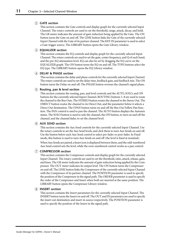## <span id="page-13-8"></span><span id="page-13-7"></span>B **GATE section**

<span id="page-13-6"></span>This section contains the Gate controls and display graph for the currently selected Input Channel. The rotary controls are used to set the threshold, range, attack, decay, and hold. The GR meter indicates the amount of gain reduction being applied by the Gate. The ON button turns the Gate on and off. The LINK button links the Gate of the currently selected Input Channel with the Gate of its partner channel. The KEY IN parameter is used to select a Gate trigger source. The LIBRARY button opens the Gate Library window.

## <span id="page-13-3"></span><span id="page-13-1"></span>C **EQUALIZER section**

This section contains the EQ controls and display graph for the currently selected Input Channel. The rotary controls are used to set the gain, center frequency, and Q of each band, and the pre-EQ attenuation level. EQ can also be set by dragging the EQ curve on the EQUALIZER graph. The ON button turns the EQ on and off. The TYPE buttons select the EQ type. The LIBRARY button opens the EQ Library window.

## D **DELAY & PHASE section**

<span id="page-13-4"></span>This section contains the delay and phase controls for the currently selected Input Channel. The rotary controls are used to set the delay time, feedback gain, and feedback mix. The ON button turns the Delay on and off. The PHASE button reverses the channel's signal phase.

## E **Routing, pan & level section**

This section contains the routing, pan, and level controls and the AUTO, SOLO, and ON buttons for the currently selected Input Channel. ROUTING buttons 1–8 are used to route the channel to the Bus Outs. The STEREO button routes the channel to the Stereo Out. The DIRECT button routes the channel to its Direct Out, and the parameter below it selects a Direct Out destination. The F.PAN button turns on and off the Bus Out Follow Pan function. The PAN control is used to pan the channel. The AUTO button displays the Automix status. The SOLO button is used to solo the channel, the ON button, to turn on and off the channel, and the channel fader, to set the channel level.

## <span id="page-13-5"></span><span id="page-13-0"></span>F **AUX SEND section**

This section contains the Aux Send controls for the currently selected Input Channel. Use the rotary controls to set the Aux Send levels, and click them to turn Aux Sends on and off. Use the button below each Aux Send control to select pre-fader or post-fader. In Fixed mode, this button is used to turn Aux Sends on and off (the level is fixed at nominal).

When Aux Sends are paired, a heart icon is displayed between them, and the odd-numbered Aux Send control sets the level, while the even-numbered control works as a pan control.

## <span id="page-13-9"></span><span id="page-13-2"></span>G **COMPRESSOR section**

This section contains the Compressor controls and display graph for the currently selected Input Channel. The rotary controls are used to set the threshold, ratio, attack, release, gain, and knee. The GR meter indicates the amount of gain reduction being applied by the Compressor. The OUT meter indicates its output level. The ON button turns the Compressor on and off. The LINK button links the Compressor of the currently selected Input Channel with the Compressor of its partner channel. The POSITION parameter is used to specify the position of the Compressor in the signal path. The ORDER parameter is used to specify the order of the Compressor and Insert when both are inserted at the same position. The LIBRARY button opens the Compressor Library window.

## **(8) INSERT section**

This section contains the Insert parameters for the currently selected Input Channel. The INSERT button turns the Insert on and off. The OUT and IN parameters are used to specify the insert out destination and insert in source respectively. The POSITION parameter is used to specify the position of the Insert in the signal path.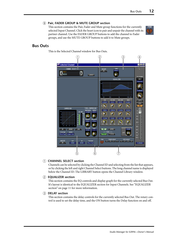## <span id="page-14-5"></span><span id="page-14-2"></span>I **Pair, FADER GROUP & MUTE GROUP section**

This section contains the Pair, Fader and Mute group functions for the currently selected Input Channel. Click the heart icon to pair and unpair the channel with its partner channel. Use the FADER GROUP buttons to add the channel to Fader groups, and use the MUTE GROUP buttons to add it to Mute groups.



## <span id="page-14-0"></span>**Bus Outs**

This is the Selected Channel window for Bus Outs.



## <span id="page-14-4"></span><span id="page-14-3"></span><span id="page-14-1"></span>A **CHANNEL SELECT section**

Channels can be selected by clicking the Channel ID and selecting from the list that appears, or by clicking the left and right Channel Select buttons. The long channel name is displayed below the Channel ID. The LIBRARY button opens the Channel Library window.

## B **EQUALIZER section**

This section contains the EQ controls and display graph for the currently selected Bus Out. It's layout is identical to the EQUALIZER section for Input Channels. [See "EQUALIZER](#page-13-1)  [section" on page 11 for more information.](#page-13-1)

## **(3) DELAY section**

This section contains the delay controls for the currently selected Bus Out. The rotary control is used to set the delay time, and the ON button turns the Delay function on and off.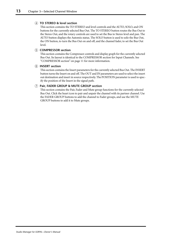## <span id="page-15-1"></span><span id="page-15-0"></span>D **TO STEREO & level section**

<span id="page-15-3"></span>This section contains the TO STEREO and level controls and the AUTO, SOLO, and ON buttons for the currently selected Bus Out. The TO STEREO button routes the Bus Out to the Stereo Out, and the rotary controls are used to set the Bus to Stereo level and pan. The AUTO button displays the Automix status. The SOLO button is used to solo the Bus Out, the ON button, to turn the Bus Out on and off, and the channel fader, to set the Bus Out level.

## <span id="page-15-2"></span>E **COMPRESSOR section**

This section contains the Compressor controls and display graph for the currently selected Bus Out. Its layout is identical to the COMPRESSOR section for Input Channels. [See](#page-13-2)  ["COMPRESSOR section" on page 11 for more information.](#page-13-2)

#### (6) **INSERT section**

This section contains the Insert parameters for the currently selected Bus Out. The INSERT button turns the Insert on and off. The OUT and IN parameters are used to select the insert out destination and insert in source respectively. The POSITION parameter is used to specify the position of the Insert in the signal path.

## G **Pair, FADER GROUP & MUTE GROUP section**

This section contains the Pair, Fader and Mute group functions for the currently selected Bus Out. Click the heart icon to pair and unpair the channel with its partner channel. Use the FADER GROUP buttons to add the channel to Fader groups, and use the MUTE GROUP buttons to add it to Mute groups.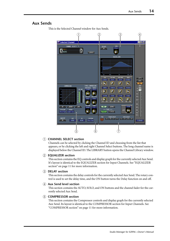## <span id="page-16-3"></span><span id="page-16-0"></span>**Aux Sends**

 $\circled{2}$   $\circled{3}$  $\mathbf{1}$  $\left(4\right)$ ad Cha **olx** CHANNEL SELECT DELAY<br>CON TIME  $\bigcap_{\text{AUX1}}$ 6 **FLIBRARY!** EQUALIZER  $L0b$ HIGH<br>H.SHELF F AUTO  $\frac{100700}{8.78}$ L.SHELF  $-0.70$  $\parallel$  solo  $\parallel$  $\sigma$  $\sigma$  $\Omega$  $\boldsymbol{\Omega}$  $\overline{on}$ TYPE: COMPRESSOR **COMPRESSOR**  $188Hz$ 1.88kHz 1.32kHz  $18.8kHz$ C Ø  $\boldsymbol{\sigma}$ G  $-18.8dB$  $0.8$ dB  $17.8dB$  $0.0$ dB  $15 \epsilon$  $\sigma$ Φ  $\Omega$  $^{20}$  $30 1111111$ ON USRARY ON FLIBRARY FLINK  $\overline{BA}$  $40 -$ POSITION ORDER<br>Pre Fad comp- ins  $50 -$ ATT Œ  $70 =$ FROER GROUP MUTE GROUP<br>TO TRY IS TO TUNY TO TRY **INSERT OUT** POSITION NONE  $NONE$ Pre Fad  $0.000B$  $\overline{7}$  $\overline{6}$  (6)

This is the Selected Channel window for Aux Sends.

## <span id="page-16-6"></span><span id="page-16-4"></span><span id="page-16-1"></span>A **CHANNEL SELECT section**

<span id="page-16-2"></span>Channels can be selected by clicking the Channel ID and choosing from the list that appears, or by clicking the left and right Channel Select buttons. The long channel name is displayed below the Channel ID. The LIBRARY button opens the Channel Library window.

## <span id="page-16-5"></span>B **EQUALIZER section**

This section contains the EQ controls and display graph for the currently selected Aux Send. It's layout is identical to the EQUALIZER section for Input Channels. [See "EQUALIZER](#page-13-1)  [section" on page 11 for more information.](#page-13-1)

## (3) **DELAY** section

This section contains the delay controls for the currently selected Aux Send. The rotary control is used to set the delay time, and the ON button turns the Delay function on and off.

#### (4) Aux Send level section

This section contains the AUTO, SOLO, and ON buttons and the channel fader for the currently selected Aux Send.

#### E **COMPRESSOR section**

This section contains the Compressor controls and display graph for the currently selected Aux Send. Its layout is identical to the COMPRESSOR section for Input Channels. [See](#page-13-2)  ["COMPRESSOR section" on page 11 for more information.](#page-13-2)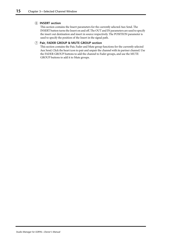## <span id="page-17-1"></span><span id="page-17-0"></span>**(6) INSERT section**

This section contains the Insert parameters for the currently selected Aux Send. The INSERT button turns the Insert on and off. The OUT and IN parameters are used to specify the insert out destination and insert in source respectively. The POSITION parameter is used to specify the position of the Insert in the signal path.

## G **Pair, FADER GROUP & MUTE GROUP section**

This section contains the Pair, Fader and Mute group functions for the currently selected Aux Send. Click the heart icon to pair and unpair the channel with its partner channel. Use the FADER GROUP buttons to add the channel to Fader groups, and use the MUTE GROUP buttons to add it to Mute groups.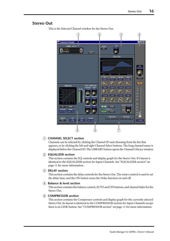## <span id="page-18-6"></span><span id="page-18-0"></span>**Stereo Out**

 $\bigcirc$  $\circled{2}$   $\circled{3}$  $\left(4\right)$ **Selected Channe** ∃lot× CHANNEL SELECT TIME  $\frac{\text{DELAY}}{\text{ON}}$ STEREO 6 **LIBRARY** FOIIAL IZER **BAL** n LOW **HIGH** AUTO<sup>-1</sup> **L.SHELF**  $0.78$ **H.SHELF**  $\sigma$ Ο  $\boldsymbol{\Omega}$  $\boldsymbol{\alpha}$  $\overline{m}$ **COMPRESSOR** TYPE: COMPRESSOR 1.88k 1.78kHz  $18.8kHz$  $\frac{0}{5}$  $=$ Г  $\sigma$  $\boldsymbol{\sigma}$  $\Gamma$  $10 -$ -2  $-16.0dE$  $0.0$ dB  $17.8$ dB  $0.0$ dB 15 – ጣ ጣ G  $\Omega$  $^{20}$ 4 30 **CONCEPT LIBRARY!** ON PLIBRARY  $6.8d$  $40 -$ POSITION ORDER<br>Pre Fad comp-ins — TYPE —<br><mark>| Typei |</mark> ||Typei || ATT ch. Œ FADER GROUP MUTE GROUP<br>"Q" "R" "S" "T" "U" "V" "W" "X" INSERT POSITION<br>Pre Fad  $NONE$ NONE  $\circ$  6  $\circled7$ 

This is the Selected Channel window for the Stereo Out.

## <span id="page-18-5"></span><span id="page-18-3"></span><span id="page-18-1"></span>A **CHANNEL SELECT section**

<span id="page-18-2"></span>Channels can be selected by clicking the Channel ID and choosing from the list that appears, or by clicking the left and right Channel Select buttons. The long channel name is displayed below the Channel ID. The LIBRARY button opens the Channel Library window.

## <span id="page-18-4"></span>B **EQUALIZER section**

This section contains the EQ controls and display graph for the Stereo Out. It's layout is identical to the EQUALIZER section for Input Channels. [See "EQUALIZER section" on](#page-13-1)  [page 11 for more information.](#page-13-1)

## (3) DELAY section

This section contains the delay controls for the Stereo Out. The rotary control is used to set the delay time, and the ON button turns the Delay function on and off.

## D **Balance & level section**

This section contains the balance control, AUTO and ON buttons, and channel fader for the Stereo Out.

## E **COMPRESSOR section**

This section contains the Compressor controls and display graph for the currently selected Stereo Out. Its layout is identical to the COMPRESSOR section for Input Channels except there is no LINK button. [See "COMPRESSOR section" on page 11 for more information.](#page-13-2)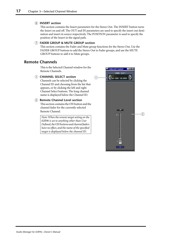## <span id="page-19-5"></span><span id="page-19-4"></span><span id="page-19-3"></span>**(6) INSERT section**

This section contains the Insert parameters for the Stereo Out. The INSERT button turns the Insert on and off. The OUT and IN parameters are used to specify the insert out destination and insert in source respectively. The POSITION parameter is used to specify the position of the Insert in the signal path.

## <span id="page-19-2"></span>G **FADER GROUP & MUTE GROUP section**

This section contains the Fader and Mute group functions for the Stereo Out. Use the FADER GROUP buttons to add the Stereo Out to Fader groups, and use the MUTE GROUP buttons to add it to Mute groups.

## <span id="page-19-0"></span>**Remote Channels**

<span id="page-19-1"></span>This is the Selected Channel window for the Remote Channels.

## A **CHANNEL SELECT section**

Channels can be selected by clicking the Channel ID and choosing from the list that appears, or by clicking the left and right Channel Select buttons. The long channel name is displayed below the Channel ID.

B **Remote Channel Level section** This section contains the ON button and the channel fader for the currently selected Remote Channel.

> *Note: When the remote target setting on the 02R96 is set to anything other than User Defined, the ON buttons and channel faders have no effect, and the name of the specified target is displayed below the channel ID.*

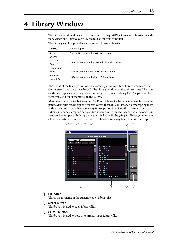## <span id="page-20-1"></span><span id="page-20-0"></span>**4 Library Window**

The Library window allows you to control and manage 02R96 Scenes and libraries. In addition, Scenes and libraries can be saved to disk on your computer.

| Library      | How to Open                                    |  |  |  |  |
|--------------|------------------------------------------------|--|--|--|--|
| Scene        | Choose Library from the Windows menu           |  |  |  |  |
| Channel      |                                                |  |  |  |  |
| Equalizer    | LIBRARY buttons on the Selected Channel window |  |  |  |  |
| Gate         |                                                |  |  |  |  |
| Compressor   |                                                |  |  |  |  |
| Effects      | LIBRARY button on the Effects Editor window    |  |  |  |  |
| Input Patch  | LIBRARY buttons on the Patch Editor window     |  |  |  |  |
| Output Patch |                                                |  |  |  |  |

The layout of the Library window is the same regardless of which library is selected (the Compressor Library is shown below). The Library window consists of two panes. The pane on the left displays a list of memories in the currently open Library file. The pane on the right displays a list of memories in the 02R96.

Memories can be copied between the 02R96 and Library file by dragging them between the panes. Memories can be copied or sorted within the 02R96 or Library file by dragging them within the same pane. When a memory is dropped on top of another memory, it's copied. When a memory is dropped between two memories, it's moved (i.e., sorted). Memory contents can be swapped by holding down the Shift key while dragging. In all cases, the contents of the destination memory are overwritten. To edit a memory title, click and then type.



## <span id="page-20-3"></span><span id="page-20-2"></span>A **File name**

This is the file name of the currently open Library file.

## B **OPEN button**

This button is used to open Library files.

## **(3) CLOSE** button

This button is used to close the currently open Library file.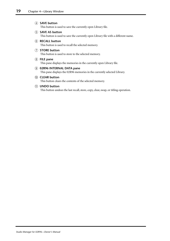#### <span id="page-21-6"></span><span id="page-21-5"></span><span id="page-21-4"></span><span id="page-21-3"></span><span id="page-21-2"></span>**(4) SAVE button**

<span id="page-21-0"></span>This button is used to save the currently open Library file.

## E **SAVE AS button**

<span id="page-21-1"></span>This button is used to save the currently open Library file with a different name.

#### $(6)$  **RECALL button**

<span id="page-21-7"></span>This button is used to recall the selected memory.

#### G **STORE button** This button is used to store to the selected memory.

## **(8)** FILE pane

This pane displays the memories in the currently open Library file.

#### I **02R96 INTERNAL DATA pane**

This pane displays the 02R96 memories in the currently selected Library.

## $(10)$  **CLEAR button**

This button clears the contents of the selected memory.

## **(11)** UNDO button

This button undoes the last recall, store, copy, clear, swap, or titling operation.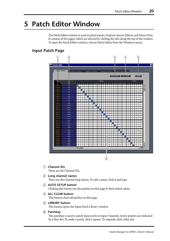## <span id="page-22-6"></span><span id="page-22-4"></span><span id="page-22-0"></span>**5 Patch Editor Window**

The Patch Editor window is used to patch Inputs, Outputs, Inserts, Effects, and Direct Outs. It consists of five pages, which are selected by clicking the tabs along the top of the window. To open the Patch Editor window, choose Patch Editor from the Windows menu.

## <span id="page-22-1"></span>**Input Patch Page**



<span id="page-22-5"></span><span id="page-22-3"></span><span id="page-22-2"></span>A **Channel IDs**

<span id="page-22-7"></span>These are the Channel IDs.

- B **Long channel names**
	- These are the Channel long names. To edit a name, click it and type.
- C **AUTO SETUP button**

Clicking this button sets the patches on this page to their initial values.

(4) ALL CLEAR button

This button clears all patches on this page.

## E **LIBRARY button**

This button opens the Input Patch Library window.

**(6)** Patchbay

The patchbay is used to patch input ports to Input Channels. Active patches are indicated by a blue dot. To make a patch, click a square. To unpatch, click a blue dot.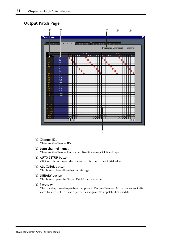## <span id="page-23-4"></span><span id="page-23-0"></span>**Output Patch Page**



## <span id="page-23-3"></span><span id="page-23-2"></span><span id="page-23-1"></span>A **Channel IDs**

<span id="page-23-5"></span>These are the Channel IDs.

B **Long channel names**

These are the Channel long names. To edit a name, click it and type.

C **AUTO SETUP button**

Clicking this button sets the patches on this page to their initial values.

(4) ALL CLEAR button

This button clears all patches on this page.

E **LIBRARY button**

This button opens the Output Patch Library window.

F **Patchbay**

The patchbay is used to patch output ports to Output Channels. Active patches are indicated by a red dot. To make a patch, click a square. To unpatch, click a red dot.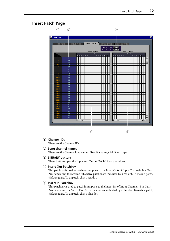## <span id="page-24-1"></span><span id="page-24-0"></span>**Insert Patch Page**



## <span id="page-24-3"></span><span id="page-24-2"></span>A **Channel IDs**

These are the Channel IDs.

## B **Long channel names**

These are the Channel long names. To edit a name, click it and type.

## C **LIBRARY buttons**

These buttons open the Input and Output Patch Library windows.

## D **Insert Out Patchbay**

This patchbay is used to patch output ports to the Insert Outs of Input Channels, Bus Outs, Aux Sends, and the Stereo Out. Active patches are indicated by a red dot. To make a patch, click a square. To unpatch, click a red dot.

## E **Insert In Patchbay**

This patchbay is used to patch input ports to the Insert Ins of Input Channels, Bus Outs, Aux Sends, and the Stereo Out. Active patches are indicated by a blue dot. To make a patch, click a square. To unpatch, click a blue dot.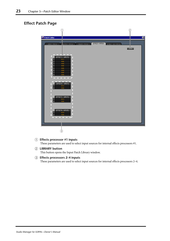## <span id="page-25-1"></span><span id="page-25-0"></span>**Effect Patch Page**



## <span id="page-25-2"></span>A **Effects processor #1 inputs**

These parameters are used to select input sources for internal effects processors #1.

B **LIBRARY button**

This button opens the Input Patch Library window.

C **Effects processors 2–4 inputs**

These parameters are used to select input sources for internal effects processors 2–4.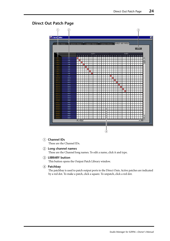## <span id="page-26-1"></span><span id="page-26-0"></span>**Direct Out Patch Page**



## <span id="page-26-3"></span><span id="page-26-2"></span>A **Channel IDs**

These are the Channel IDs.

## B **Long channel names**

These are the Channel long names. To edit a name, click it and type.

## **(3) LIBRARY button**

This button opens the Output Patch Library window.

## D **Patchbay**

The patchbay is used to patch output ports to the Direct Outs. Active patches are indicated by a red dot. To make a patch, click a square. To unpatch, click a red dot.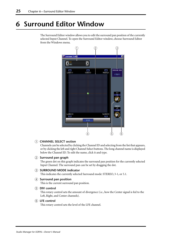## <span id="page-27-4"></span><span id="page-27-0"></span>**6 Surround Editor Window**

The Surround Editor window allows you to edit the surround pan position of the currently selected Input Channel. To open the Surround Editor window, choose Surround Editor from the Windows menu.



## <span id="page-27-7"></span><span id="page-27-6"></span><span id="page-27-5"></span><span id="page-27-1"></span>A **CHANNEL SELECT section**

<span id="page-27-2"></span>Channels can be selected by clicking the Channel ID and selecting from the list that appears, or by clicking the left and right Channel Select buttons. The long channel name is displayed below the Channel ID. To edit the name, click it and type.

## B **Surround pan graph**

<span id="page-27-3"></span>The green dot on this graph indicates the surround pan position for the currently selected Input Channel. The surround pan can be set by dragging the dot.

## **(3) SURROUND MODE indicator**

This indicates the currently selected Surround mode: STEREO, 3-1, or 5.1.

## D **Surround pan position**

This is the current surround pan position.

## E **DIV control**

This rotary control sets the amount of divergence (i.e., how the Center signal is fed to the Left, Right, and Center channels).

## **(6)** LFE control

This rotary control sets the level of the LFE channel.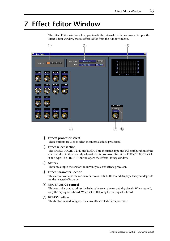## <span id="page-28-2"></span><span id="page-28-0"></span>**7 Effect Editor Window**

The Effect Editor window allows you to edit the internal effects processors. To open the Effect Editor window, choose Effect Editor from the Windows menu.



## <span id="page-28-5"></span><span id="page-28-4"></span><span id="page-28-3"></span>(1) **Effects processor select**

<span id="page-28-6"></span>These buttons are used to select the internal effects processors.

## B **Effect select section**

<span id="page-28-1"></span>The EFFECT NAME, TYPE, and IN/OUT are the name, type and I/O configuration of the effect recalled to the currently selected effects processor. To edit the EFFECT NAME, click it and type. The LIBRARY button opens the Effects Library window.

## C **Meters**

These are output meters for the currently selected effects processor.

## D **Effect parameter section**

This section contains the various effects controls, buttons, and displays. Its layout depends on the selected effect type.

## **(5) MIX BALANCE control**

This control is used to adjust the balance between the wet and dry signals. When set to 0, only the dry signal is heard. When set to 100, only the wet signal is heard.

## $\circ$  **BYPASS button**

This button is used to bypass the currently selected effects processor.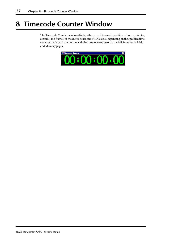## <span id="page-29-1"></span><span id="page-29-0"></span>**8 Timecode Counter Window**

The Timecode Counter window displays the current timecode position in hours, minutes, seconds, and frames, or measures, beats, and MIDI clocks, depending on the specified timecode source. It works in unison with the timecode counters on the 02R96 Automix Main and Memory pages.

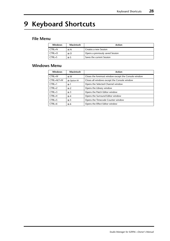## <span id="page-30-3"></span><span id="page-30-0"></span>**9 Keyboard Shortcuts**

## <span id="page-30-1"></span>**File Menu**

| <b>Windows</b> | Macintosh    | Action                           |
|----------------|--------------|----------------------------------|
| CTRL+N         | $R-N$        | Creates a new Session            |
| $CTRL+O$       | $\angle$ 8-O | Opens a previously saved Session |
| $CTRL + S$     | ж-S          | Saves the current Session        |

## <span id="page-30-2"></span>**Windows Menu**

| <b>Windows</b> | Macintosh         | <b>Action</b>                                        |
|----------------|-------------------|------------------------------------------------------|
| CTRL+W         | $\mathcal{H}$ -W  | Closes the foremost window except the Console window |
| CTRL+ALT+W     | <b>%-Option-W</b> | Closes all windows except the Console window         |
| $CTRL+1$       | $36-1$            | Opens the Selected Channel window                    |
| $CTRI + 2$     | $\frac{46}{2}$    | Opens the Library window                             |
| $CTRL+3$       | $\frac{42}{3}$    | Opens the Patch Editor window                        |
| $CTRL+4$       | $2$ .4            | Opens the Surround Editor window                     |
| $CTRL+5$       | $\frac{1}{26}$ -5 | Opens the Timecode Counter window                    |
| $CTRL+6$       | $\ast$ -6         | Opens the Effect Editor window                       |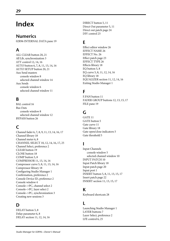## <span id="page-31-0"></span>**Index**

## **Numerics**

02R96 INTERNAL DATA pane [19](#page-21-0)

## **A**

ALL CLEAR button [20](#page-22-2)**,** [21](#page-23-1) All Lib, synchronization [3](#page-5-2) ATT control [12](#page-14-1)**,** [14](#page-16-1)**,** [16](#page-18-1) AUTO button [6](#page-8-0)**,** [7](#page-9-1)**,** [8](#page-10-1)**,** [11](#page-13-3)**,** [13](#page-15-0)**,** [14](#page-16-2)**,** [16](#page-18-2) AUTO SETUP button [20](#page-22-3)**,** [21](#page-23-2) Aux Send masters console window [8](#page-10-2) selected channel window [14](#page-16-3) Aux Sends console window [6](#page-8-1) selected channel window [11](#page-13-4)

## **B**

BAL control [16](#page-18-2) Bus Outs console window [8](#page-10-2) selected channel window [12](#page-14-2) BYPASS button [26](#page-28-1)

## **C**

Channel fader [6](#page-8-2)**,** [7](#page-9-2)**,** [8](#page-10-3)**,** [9](#page-11-1)**,** [11](#page-13-3)**,** [13](#page-15-0)**,** [14](#page-16-2)**,** [16](#page-18-2)**,** [17](#page-19-1) Channel library [18](#page-20-1) Channel meter [6](#page-8-3)**,** [8](#page-10-4) CHANNEL SELECT [10](#page-12-2)**,** [12](#page-14-3)**,** [14](#page-16-4)**,** [16](#page-18-3)**,** [17](#page-19-2)**,** [25](#page-27-1) Channel Select, preference [2](#page-4-0) CLEAR button [19](#page-21-1) CLOSE button [18](#page-20-2) COMP button [5](#page-7-1)**,** [8](#page-10-5) COMPRESSOR [11](#page-13-5)**,** [13](#page-15-1)**,** [14](#page-16-5)**,** [16](#page-18-4) Compressor curve [5](#page-7-2)**,** [8](#page-10-6)**,** [11](#page-13-5)**,** [13](#page-15-1)**,** [14](#page-16-5)**,** [16](#page-18-4) Compressor library [18](#page-20-1) Configuring Studio Manager [1](#page-3-4) Confirmation, preference [2](#page-4-1) Console Device ID, preference [2](#page-4-2) Console window [4](#page-6-1) Console–>PC, channel select [2](#page-4-0) Console–>PC, layer select [2](#page-4-3) Console–>PC, synchronization [3](#page-5-3) Creating new sessions [3](#page-5-4)

## **D**

DELAY button [5](#page-7-3)**,** [8](#page-10-7) Delay parameter [6](#page-8-4)**,** [8](#page-10-8) DELAY section [11](#page-13-6)**,** [12](#page-14-4)**,** [14](#page-16-6)**,** [16](#page-18-5) DIRECT button [5](#page-7-4)**,** [11](#page-13-3) Direct Out parameter [5](#page-7-5)**,** [11](#page-13-3) Direct out patch page [24](#page-26-1) DIV control [25](#page-27-2)

## **E**

Effect editor window [26](#page-28-2) EFFECT NAME [26](#page-28-3) EFFECT No. [26](#page-28-4) Effect patch page [23](#page-25-1) EFFECT TYPE [26](#page-28-3) Effects library [18](#page-20-1) EQ button [5](#page-7-6)**,** [8](#page-10-9) EQ curve [5](#page-7-7)**,** [8](#page-10-10)**,** [11](#page-13-7)**,** [12](#page-14-1)**,** [14](#page-16-1)**,** [16](#page-18-1) EQ library [18](#page-20-1) EQUALIZER section [11](#page-13-7)**,** [12](#page-14-1)**,** [14](#page-16-1)**,** [16](#page-18-1) Exiting Studio Manager [1](#page-3-5)

## **F**

F.PAN button [11](#page-13-3) FADER GROUP buttons [12](#page-14-5)**,** [13](#page-15-2)**,** [15](#page-17-0)**,** [17](#page-19-3) FILE pane [19](#page-21-2)

## **G**

GATE [11](#page-13-8) GATE button [5](#page-7-8) Gate curve [11](#page-13-8) Gate library [18](#page-20-1) Gate open/close indicators [5](#page-7-9) Gate threshold [5](#page-7-10)

## **I**

Input Channels console window [5](#page-7-11) selected channel window [10](#page-12-3) INPUT PATCH [10](#page-12-2) Input Patch library [18](#page-20-1) Input patch page [20](#page-22-4) Input port [1](#page-3-4) INSERT button [5](#page-7-12)**,** [8](#page-10-11)**,** [11](#page-13-9)**,** [13](#page-15-3)**,** [15](#page-17-1)**,** [17](#page-19-4) Insert patch page [22](#page-24-1) INSERT section [11](#page-13-9)**,** [13](#page-15-3)**,** [15](#page-17-1)**,** [17](#page-19-4)

## **K**

Keyboard shortcuts [28](#page-30-3)

## **L**

Launching Studio Manager [1](#page-3-6) LAYER buttons [7](#page-9-3) Layer Select, preference [2](#page-4-3) LFE control [6](#page-8-5)**,** [25](#page-27-3)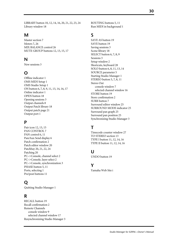LIBRARY button [10](#page-12-2)**,** [12](#page-14-3)**,** [14](#page-16-4)**,** [16](#page-18-3)**,** [20](#page-22-5)**,** [21](#page-23-3)**,** [22](#page-24-2)**,** [23](#page-25-2)**,** [24](#page-26-2) Library window [18](#page-20-1)

## **M**

Master section [7](#page-9-4) Meters [7](#page-9-5)**,** [26](#page-28-5) MIX BALANCE control [26](#page-28-6) MUTE GROUP buttons [12](#page-14-5)**,** [13](#page-15-2)**,** [15](#page-17-0)**,** [17](#page-19-3)

## **N**

New sessions [3](#page-5-4)

## **O**

Offline indicator [1](#page-3-6) OMS MIDI Setup [1](#page-3-4) OMS Studio Setup [1](#page-3-4) ON button [6](#page-8-6)**,** [7](#page-9-6)**,** [8](#page-10-12)**,** [9](#page-11-2)**,** [11](#page-13-3)**,** [13](#page-15-0)**,** [14](#page-16-2)**,** [16](#page-18-2)**,** [17](#page-19-1) Online indicator [1](#page-3-6) OPEN button [18](#page-20-3) Opening sessions [3](#page-5-4) Output channels [8](#page-10-2) Output Patch library [18](#page-20-1) Output patch page [21](#page-23-4) Output port [1](#page-3-4)

## **P**

Pair icon [12](#page-14-5)**,** [13](#page-15-2)**,** [15](#page-17-0) PAN CONTROL [7](#page-9-7) PAN control [6](#page-8-7)**,** [11](#page-13-3) Pan/Aux Send display [6](#page-8-8) Patch confirmation [2](#page-4-1) Patch editor window [20](#page-22-6) Patchbay [20](#page-22-7)**,** [21](#page-23-5)**,** [22](#page-24-3)**,** [24](#page-26-3) Patching [20](#page-22-6) PC–>Console, channel select [2](#page-4-0) PC–>Console, layer select [2](#page-4-3) PC–>Console, synchronization [3](#page-5-5) PHASE button [5](#page-7-13)**,** [11](#page-13-6) Ports, selecting [1](#page-3-4) Pre/post buttons [11](#page-13-4)

## **Q**

Quitting Studio Manager [1](#page-3-5)

## **R**

RECALL button [19](#page-21-3) Recall confirmation [2](#page-4-1) Remote Channels console window [9](#page-11-3) selected channel window [17](#page-19-5) Resynchronizing Studio Manager [3](#page-5-6) ROUTING buttons [5](#page-7-14)**,** [11](#page-13-3) Run MIDI in background [1](#page-3-4)

## **S**

SAVE AS button [19](#page-21-4) SAVE button [19](#page-21-5) Saving sessions [3](#page-5-4) Scene library [18](#page-20-1) SELECT button [6](#page-8-9)**,** [7](#page-9-8)**,** [8](#page-10-13)**,** [9](#page-11-4) Sessions [3](#page-5-4) Setup window [2](#page-4-4) Shortcuts, keyboard [28](#page-30-3) SOLO button [6](#page-8-10)**,** [8](#page-10-14)**,** [11](#page-13-3)**,** [13](#page-15-0)**,** [14](#page-16-2) SOURCE parameter [5](#page-7-15) Starting Studio Manager [1](#page-3-6) STEREO button [5](#page-7-16)**,** [7](#page-9-7)**,** [8](#page-10-15)**,** [11](#page-13-3) Stereo Out console window [7](#page-9-4) selected channel window [16](#page-18-6) STORE button [19](#page-21-6) Store confirmation [2](#page-4-1) SURR button [7](#page-9-7) Surround editor window [25](#page-27-4) SURROUND MODE indicator [25](#page-27-5) Surround pan graph [25](#page-27-6) Surround pan position [25](#page-27-7) Synchronizing Studio Manager [3](#page-5-6)

## **T**

Timecode counter window [27](#page-29-1) TO STEREO section [13](#page-15-0) TYPE I button [11](#page-13-7)**,** [12](#page-14-1)**,** [14](#page-16-1)**,** [16](#page-18-1) TYPE II button [11](#page-13-7)**,** [12](#page-14-1)**,** [14](#page-16-1)**,** [16](#page-18-1)

## **U**

UNDO button [19](#page-21-7)

## **Y**

Yamaha Web Site [i](#page-1-0)